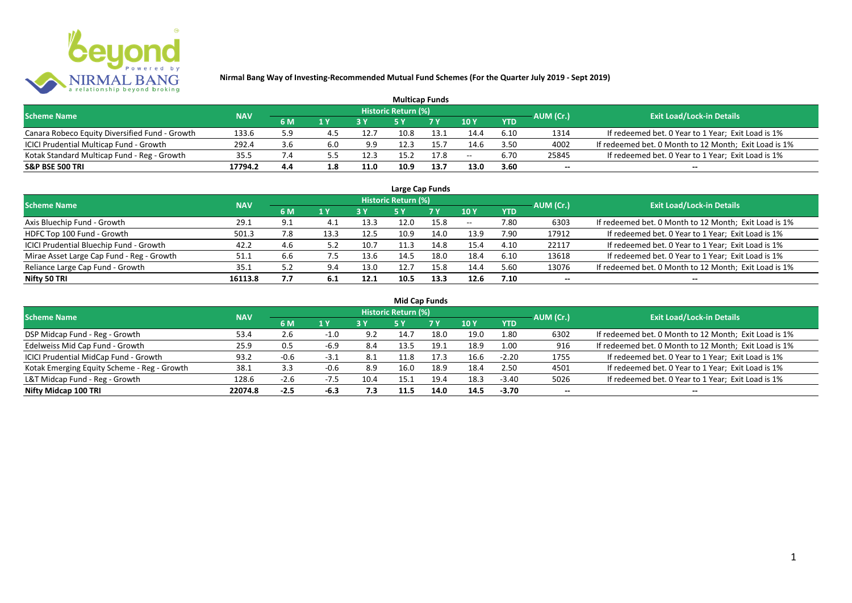

| <b>Multicap Funds</b>                          |            |     |     |      |                     |      |                 |            |           |                                                       |  |  |  |
|------------------------------------------------|------------|-----|-----|------|---------------------|------|-----------------|------------|-----------|-------------------------------------------------------|--|--|--|
| <b>Scheme Name</b>                             | <b>NAV</b> |     |     |      | Historic Return (%) |      |                 |            | AUM (Cr.) | <b>Exit Load/Lock-in Details</b>                      |  |  |  |
|                                                |            | 6 M | 1 Y | 2V   |                     | 7 V  | 10 <sub>Y</sub> | <b>YTD</b> |           |                                                       |  |  |  |
| Canara Robeco Equity Diversified Fund - Growth | 133.6      | 5.9 |     | 12.7 | 10.8                | 13.1 | 14.4            | 6.10       | 1314      | If redeemed bet. 0 Year to 1 Year; Exit Load is 1%    |  |  |  |
| ICICI Prudential Multicap Fund - Growth        | 292.4      | 3.6 | 6.0 | 9.9  |                     | 15.  | 14.6            | 3.50       | 4002      | If redeemed bet. 0 Month to 12 Month; Exit Load is 1% |  |  |  |
| Kotak Standard Multicap Fund - Reg - Growth    | 35.5       |     |     | 12.3 | 15.2                | 17.8 | $- -$           | 6.70       | 25845     | If redeemed bet. 0 Year to 1 Year; Exit Load is 1%    |  |  |  |
| <b>S&amp;P BSE 500 TRI</b>                     | 17794.2    | 4.4 | 1.8 | 11.0 | 10.9                | 13.7 | 13.0            | 3.60       | $- -$     | $- -$                                                 |  |  |  |

|                                           |            |     |      |      |                            | Large Cap Funds |       |            |           |                                                       |
|-------------------------------------------|------------|-----|------|------|----------------------------|-----------------|-------|------------|-----------|-------------------------------------------------------|
| <b>Scheme Name</b>                        | <b>NAV</b> |     |      |      | <b>Historic Return (%)</b> |                 |       |            | AUM (Cr.) | <b>Exit Load/Lock-in Details</b>                      |
|                                           |            | 6 M | 1 Y  |      | <b>5Y</b>                  | 7 Y             | 10Y   | <b>YTD</b> |           |                                                       |
| Axis Bluechip Fund - Growth               | 29.1       | 9.1 | 4.1  | 13.3 | 12.0                       | 15.8            | $- -$ | 7.80       | 6303      | If redeemed bet. 0 Month to 12 Month; Exit Load is 1% |
| HDFC Top 100 Fund - Growth                | 501.3      | 7.8 | 13.3 | 12.5 | 10.9                       | 14.0            | 13.9  | 7.90       | 17912     | If redeemed bet. 0 Year to 1 Year; Exit Load is 1%    |
| ICICI Prudential Bluechip Fund - Growth   | 42.2       | 4.6 | 5.2  | 10.7 | 11.3                       | 14.8            | 15.4  | 4.10       | 22117     | If redeemed bet. 0 Year to 1 Year; Exit Load is 1%    |
| Mirae Asset Large Cap Fund - Reg - Growth | 51.1       | 6.6 | כ. / | 13.6 | 14.5                       | 18.0            | 18.4  | 6.10       | 13618     | If redeemed bet. 0 Year to 1 Year; Exit Load is 1%    |
| Reliance Large Cap Fund - Growth          | 35.1       | 5.2 | 9.4  | 13.0 | 12.7                       | 15.8            | 14.4  | 5.60       | 13076     | If redeemed bet. 0 Month to 12 Month; Exit Load is 1% |
| Nifty 50 TRI                              | 16113.8    | 7.7 | 6.1  | 12.1 | 10.5                       | 13.3            | 12.6  | 7.10       |           | --                                                    |

| <b>Mid Cap Funds</b>                        |            |        |        |      |                            |      |      |            |                          |                                                       |  |  |  |
|---------------------------------------------|------------|--------|--------|------|----------------------------|------|------|------------|--------------------------|-------------------------------------------------------|--|--|--|
| <b>Scheme Name</b>                          | <b>NAV</b> |        |        |      | <b>Historic Return (%)</b> |      |      |            | AUM (Cr.)                | <b>Exit Load/Lock-in Details</b>                      |  |  |  |
|                                             |            | 6 M    | 1 Y    |      | 5 Y                        | 7 Y  | 10Y  | <b>YTD</b> |                          |                                                       |  |  |  |
| DSP Midcap Fund - Reg - Growth              | 53.4       | 2.6    | $-1.0$ | 9.2  | 14.7                       | 18.0 | 19.0 | 1.80       | 6302                     | If redeemed bet. 0 Month to 12 Month; Exit Load is 1% |  |  |  |
| Edelweiss Mid Cap Fund - Growth             | 25.9       | 0.5    | -6.9   | 8.4  | 13.5                       | 19.1 | 18.9 | 1.00       | 916                      | If redeemed bet. 0 Month to 12 Month; Exit Load is 1% |  |  |  |
| ICICI Prudential MidCap Fund - Growth       | 93.2       | $-0.6$ | -3.1   | 8.1  | L1.8                       | 17.3 | 16.6 | $-2.20$    | 1755                     | If redeemed bet. 0 Year to 1 Year; Exit Load is 1%    |  |  |  |
| Kotak Emerging Equity Scheme - Reg - Growth | 38.1       | 3.3    | $-0.6$ | 8.9  | 16.0                       | 18.9 | 18.4 | 2.50       | 4501                     | If redeemed bet. 0 Year to 1 Year; Exit Load is 1%    |  |  |  |
| L&T Midcap Fund - Reg - Growth              | 128.6      | -2.6   | $-7.5$ | 10.4 | 15.1                       | 19.4 | 18.3 | $-3.40$    | 5026                     | If redeemed bet. 0 Year to 1 Year; Exit Load is 1%    |  |  |  |
| Nifty Midcap 100 TRI                        | 22074.8    | $-2.5$ | $-6.3$ | 7.3  | 11.5                       | 14.0 | 14.5 | $-3.70$    | $\overline{\phantom{a}}$ | $- -$                                                 |  |  |  |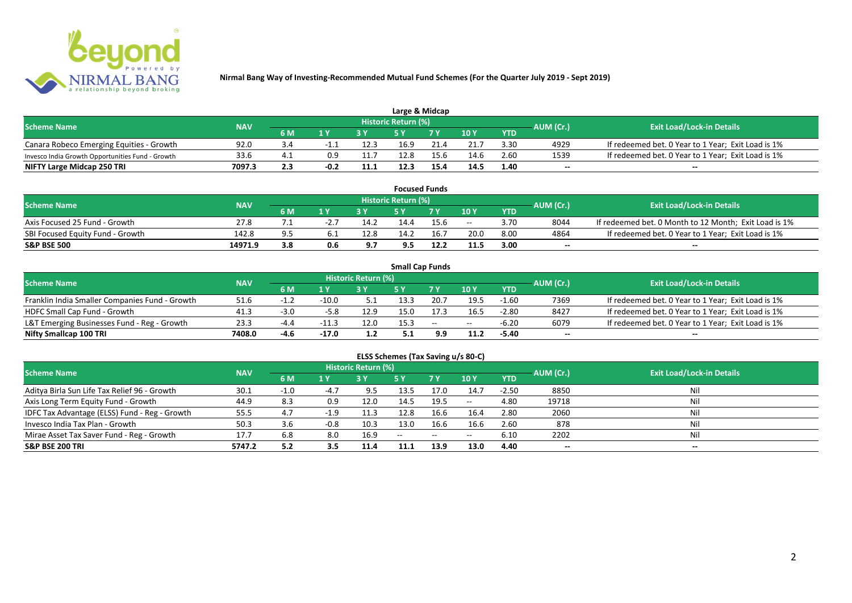

| Large & Midcap                                   |            |      |                         |      |                            |      |      |            |           |                                                    |  |  |  |
|--------------------------------------------------|------------|------|-------------------------|------|----------------------------|------|------|------------|-----------|----------------------------------------------------|--|--|--|
| <b>Scheme Name</b>                               | <b>NAV</b> |      |                         |      | <b>Historic Return (%)</b> |      |      |            | AUM (Cr.) | <b>Exit Load/Lock-in Details</b>                   |  |  |  |
|                                                  |            | 6 M  | $\mathbf{A} \mathbf{V}$ |      |                            | 7 V  | 10Y  | <b>YTD</b> |           |                                                    |  |  |  |
| Canara Robeco Emerging Equities - Growth         | 92.0       | -3.4 |                         | 12.3 | 16.9                       | 21.4 | 21.7 | 3.30       | 4929      | If redeemed bet. 0 Year to 1 Year; Exit Load is 1% |  |  |  |
| Invesco India Growth Opportunities Fund - Growth | 33.6       |      | 0.9                     | 11.7 | 12.8                       | 15.6 | 14.6 | 2.60       | 1539      | If redeemed bet. 0 Year to 1 Year; Exit Load is 1% |  |  |  |
| NIFTY Large Midcap 250 TRI                       | 7097.3     | 2.3  | $-0.2$                  | 11.1 | 12.3                       | 15.4 | 14.5 | 1.40       | $- -$     | $- -$                                              |  |  |  |

|                                  |            |       |       |      |                     | <b>Focused Funds</b> |       |            |           |                                                       |
|----------------------------------|------------|-------|-------|------|---------------------|----------------------|-------|------------|-----------|-------------------------------------------------------|
| <b>Scheme Name</b>               | <b>NAV</b> |       |       |      | Historic Return (%) |                      |       |            | AUM (Cr.) | <b>Exit Load/Lock-in Details</b>                      |
|                                  |            | 6 M   | 1 V   |      | cν                  | 7 V                  | 10 Y  | <b>YTD</b> |           |                                                       |
| Axis Focused 25 Fund - Growth    | 27.8       |       | -2. . | 14.2 | 14.4                | 15.6                 | $- -$ | 3.70       | 8044      | If redeemed bet. 0 Month to 12 Month; Exit Load is 1% |
| SBI Focused Equity Fund - Growth | 142.8      | $Q$ 5 |       | 12.8 | 14.2                | 16.                  | 20.0  | 8.00       | 4864      | If redeemed bet. 0 Year to 1 Year; Exit Load is 1%    |
| <b>S&amp;P BSE 500</b>           | 14971.9    | 3.8   | 0.6   | 9.7  | 9.5                 | 12.2                 | 11.5  | 3.00       | $- -$     | $- -$                                                 |

|                                                |            |        |         |                     | <b>Small Cap Funds</b> |                          |       |            |           |                                                    |
|------------------------------------------------|------------|--------|---------|---------------------|------------------------|--------------------------|-------|------------|-----------|----------------------------------------------------|
| <b>Scheme Name</b>                             | <b>NAV</b> |        |         | Historic Return (%) |                        |                          |       |            | AUM (Cr.) | <b>Exit Load/Lock-in Details</b>                   |
|                                                |            | 6 M    |         |                     |                        |                          | 10Y   | <b>YTD</b> |           |                                                    |
| Franklin India Smaller Companies Fund - Growth | 51.6       |        | $-10.0$ |                     | 13.3                   | 20.7                     | 19.5  | $-1.60$    | 7369      | If redeemed bet. 0 Year to 1 Year; Exit Load is 1% |
| HDFC Small Cap Fund - Growth                   | 41.3       | -3.0   | $-5.8$  | 12.9                | 15.0                   |                          | 16.5  | $-2.80$    | 8427      | If redeemed bet. 0 Year to 1 Year; Exit Load is 1% |
| L&T Emerging Businesses Fund - Reg - Growth    | 23.3       | -4.4   | $-11.3$ | 12.0                | 15.3                   | $\overline{\phantom{m}}$ | $- -$ | $-6.20$    | 6079      | If redeemed bet. 0 Year to 1 Year; Exit Load is 1% |
| Nifty Smallcap 100 TRI                         | 7408.0     | $-4.6$ | $-17.0$ | 1.2                 |                        | 9.9                      | 11.2  | $-5.40$    | $- -$     | $- -$                                              |

# **ELSS Schemes (Tax Saving u/s 80-C)**

| <b>Scheme Name</b>                            | <b>NAV</b> |      |                | <b>Historic Return (%)</b> |       |      |         |            | AUM (Cr.)                | <b>Exit Load/Lock-in Details</b> |
|-----------------------------------------------|------------|------|----------------|----------------------------|-------|------|---------|------------|--------------------------|----------------------------------|
|                                               |            | 6 M  | 1 <sub>Y</sub> |                            | 5 Y   | 7Y   | 10Y     | <b>YTD</b> |                          |                                  |
| Aditya Birla Sun Life Tax Relief 96 - Growth  | 30.1       | -1.0 | -4.,           | 9.5                        | 13.5  | 17.0 | 14.7    | $-2.50$    | 8850                     | Nil                              |
| Axis Long Term Equity Fund - Growth           | 44.9       | 8.3  | 0.9            | 12.0                       | 14.5  | 19.5 | $-  \,$ | 4.80       | 19718                    |                                  |
| IDFC Tax Advantage (ELSS) Fund - Reg - Growth | 55.5       | 4.7  | $-1.9$         | 11.3                       | 12.8  | 16.6 | 16.4    | 2.80       | 2060                     |                                  |
| Invesco India Tax Plan - Growth               | 50.3       | 3.6  | $-0.8$         | 10.3                       | 13.0  | 16.6 | 16.6    | 2.60       | 878                      |                                  |
| Mirae Asset Tax Saver Fund - Reg - Growth     | 17.7       | 6.8  |                | 16.9                       | $- -$ | --   | $- -$   | 6.10       | 2202                     |                                  |
| <b>S&amp;P BSE 200 TRI</b>                    | 5747.2     | 5.2  | 3.5            | 11.4                       | 11.1  | 13.9 | 13.0    | 4.40       | $\overline{\phantom{a}}$ | $\overline{\phantom{a}}$         |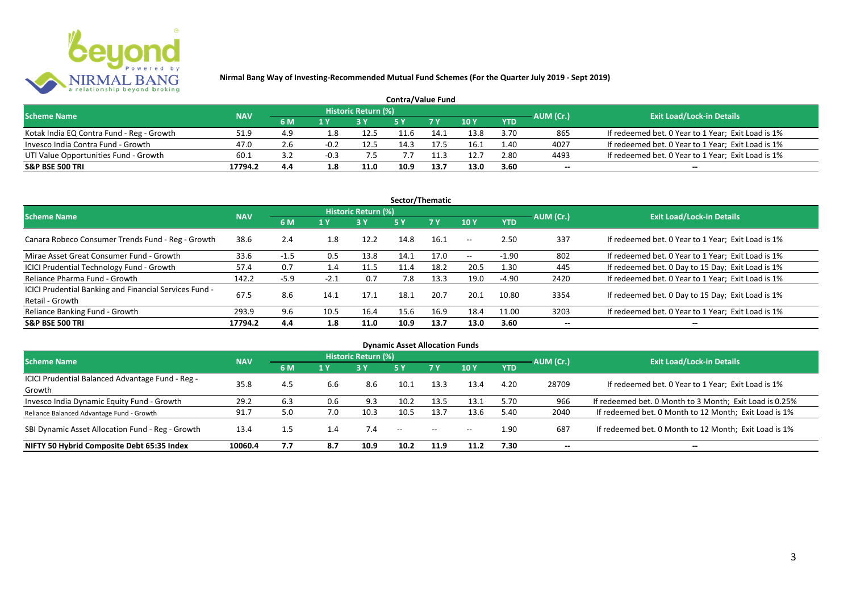

| <b>Contra/Value Fund</b>                  |            |           |     |                     |      |      |        |            |           |                                                    |  |  |  |
|-------------------------------------------|------------|-----------|-----|---------------------|------|------|--------|------------|-----------|----------------------------------------------------|--|--|--|
| <b>Scheme Name</b>                        | <b>NAV</b> |           |     | Historic Return (%) |      |      |        |            | AUM (Cr.) | <b>Exit Load/Lock-in Details</b>                   |  |  |  |
|                                           |            | <b>6M</b> | 1 Y |                     |      | 7 Y  | $-10Y$ | <b>YTD</b> |           |                                                    |  |  |  |
| Kotak India EQ Contra Fund - Reg - Growth | 51.9       | 4.9       | 1.8 | 12.5                | 11.6 | 14.1 | 13.8   | 3.70       | 865       | If redeemed bet. 0 Year to 1 Year; Exit Load is 1% |  |  |  |
| Invesco India Contra Fund - Growth        | 47.0       | 2.6       |     | 12.5                | ۔ 11 | 17.5 | 16.1   | 1.40       | 4027      | If redeemed bet. 0 Year to 1 Year; Exit Load is 1% |  |  |  |
| UTI Value Opportunities Fund - Growth     | 60.1       | ے. ک      |     |                     |      | 11.3 | 12.    | 2.80       | 4493      | If redeemed bet. 0 Year to 1 Year; Exit Load is 1% |  |  |  |
| <b>S&amp;P BSE 500 TRI</b>                | 17794.2    | 4.4       | 1.8 | 11.0                | 10.9 | 13.7 | 13.0   | 3.60       | --        | $- -$                                              |  |  |  |

| Sector/Thematic                                                           |            |        |                  |                            |      |           |                          |            |           |                                                    |  |  |  |
|---------------------------------------------------------------------------|------------|--------|------------------|----------------------------|------|-----------|--------------------------|------------|-----------|----------------------------------------------------|--|--|--|
| <b>Scheme Name</b>                                                        | <b>NAV</b> |        |                  | <b>Historic Return (%)</b> |      |           |                          |            | AUM (Cr.) | <b>Exit Load/Lock-in Details</b>                   |  |  |  |
|                                                                           |            | 6 M    | $\overline{1}$ Y | <b>3 Y</b>                 | 5Y   | <b>7Y</b> | 10Y                      | <b>YTD</b> |           |                                                    |  |  |  |
| Canara Robeco Consumer Trends Fund - Reg - Growth                         | 38.6       | 2.4    | 1.8              | 12.2                       | 14.8 | 16.1      | $\overline{\phantom{a}}$ | 2.50       | 337       | If redeemed bet. 0 Year to 1 Year; Exit Load is 1% |  |  |  |
| Mirae Asset Great Consumer Fund - Growth                                  | 33.6       | $-1.5$ | 0.5              | 13.8                       | 14.1 | 17.0      | $\sim$ $\sim$            | $-1.90$    | 802       | If redeemed bet. 0 Year to 1 Year; Exit Load is 1% |  |  |  |
| ICICI Prudential Technology Fund - Growth                                 | 57.4       | 0.7    | 1.4              | 11.5                       | 11.4 | 18.2      | 20.5                     | 1.30       | 445       | If redeemed bet. 0 Day to 15 Day; Exit Load is 1%  |  |  |  |
| Reliance Pharma Fund - Growth                                             | 142.2      | $-5.9$ | $-2.1$           | 0.7                        | 7.8  | 13.3      | 19.0                     | $-4.90$    | 2420      | If redeemed bet. 0 Year to 1 Year; Exit Load is 1% |  |  |  |
| ICICI Prudential Banking and Financial Services Fund -<br>Retail - Growth | 67.5       | 8.6    | 14.1             | 17.1                       | 18.1 | 20.7      | 20.1                     | 10.80      | 3354      | If redeemed bet. 0 Day to 15 Day; Exit Load is 1%  |  |  |  |
| Reliance Banking Fund - Growth                                            | 293.9      | 9.6    | 10.5             | 16.4                       | 15.6 | 16.9      | 18.4                     | 11.00      | 3203      | If redeemed bet. 0 Year to 1 Year; Exit Load is 1% |  |  |  |
| <b>S&amp;P BSE 500 TRI</b>                                                | 17794.2    | 4.4    | 1.8              | 11.0                       | 10.9 | 13.7      | 13.0                     | 3.60       | --        | $- -$                                              |  |  |  |

| <b>Dynamic Asset Allocation Funds</b>            |            |         |     |                            |      |               |       |            |                          |                                                         |  |  |  |
|--------------------------------------------------|------------|---------|-----|----------------------------|------|---------------|-------|------------|--------------------------|---------------------------------------------------------|--|--|--|
| <b>Scheme Name</b>                               | <b>NAV</b> |         |     | <b>Historic Return (%)</b> |      |               |       |            | AUM (Cr.)                | <b>Exit Load/Lock-in Details</b>                        |  |  |  |
|                                                  |            | 6 M     | 1 Y | 3Y                         | 5 Y  | <b>7Y</b>     | 10Y   | <b>YTD</b> |                          |                                                         |  |  |  |
| ICICI Prudential Balanced Advantage Fund - Reg - | 35.8       | 4.5     |     | 8.6                        | 10.1 |               |       | 4.20       |                          |                                                         |  |  |  |
| Growth                                           |            |         | 6.6 |                            |      | 13.3          | 13.4  |            | 28709                    | If redeemed bet. 0 Year to 1 Year; Exit Load is 1%      |  |  |  |
| Invesco India Dynamic Equity Fund - Growth       | 29.2       | 6.3     | 0.6 | 9.3                        | 10.2 | 13.5          | 13.1  | 5.70       | 966                      | If redeemed bet. 0 Month to 3 Month; Exit Load is 0.25% |  |  |  |
| Reliance Balanced Advantage Fund - Growth        | 91.7       | 5.0     | 7.0 | 10.3                       | 10.5 | 13.7          | 13.6  | 5.40       | 2040                     | If redeemed bet. 0 Month to 12 Month; Exit Load is 1%   |  |  |  |
| SBI Dynamic Asset Allocation Fund - Reg - Growth | 13.4       | $1.5\,$ | 1.4 | 7.4                        | $ -$ | $\sim$ $\sim$ | $- -$ | 1.90       | 687                      | If redeemed bet. 0 Month to 12 Month; Exit Load is 1%   |  |  |  |
| NIFTY 50 Hybrid Composite Debt 65:35 Index       | 10060.4    | 7.7     | 8.7 | 10.9                       | 10.2 | 11.9          | 11.2  | 7.30       | $\overline{\phantom{a}}$ | $- -$                                                   |  |  |  |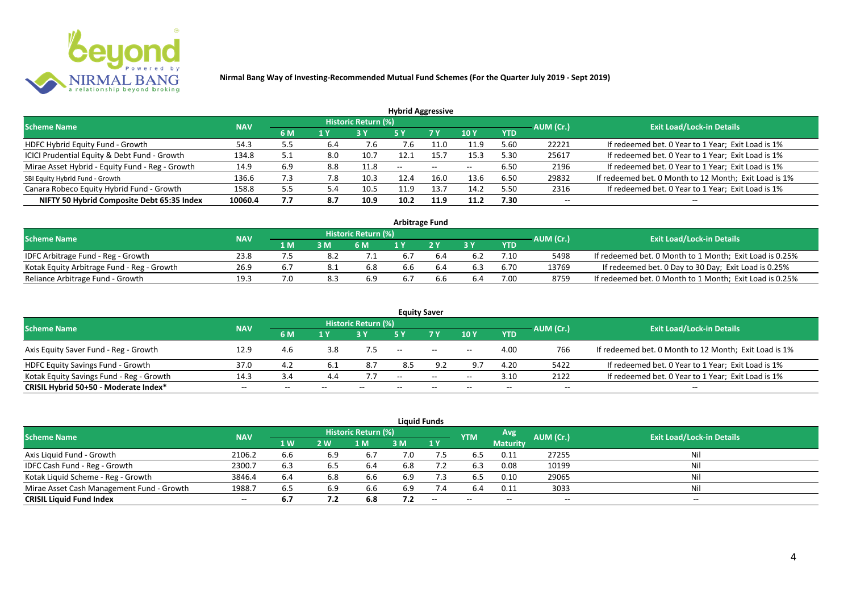

|                                                 |            |     |     |                            | <b>Hybrid Aggressive</b> |                   |       |            |           |                                                       |
|-------------------------------------------------|------------|-----|-----|----------------------------|--------------------------|-------------------|-------|------------|-----------|-------------------------------------------------------|
| <b>Scheme Name</b>                              | <b>NAV</b> |     |     | <b>Historic Return (%)</b> |                          |                   |       |            | AUM (Cr.) | <b>Exit Load/Lock-in Details</b>                      |
|                                                 |            | 6 M | 1 Y |                            | 5 Y                      | 7 Y               | 10Y   | <b>YTD</b> |           |                                                       |
| HDFC Hybrid Equity Fund - Growth                | 54.3       | 5.5 | 6.4 | 7.b                        | 7.6                      | 11.0              | 11.9  | 5.60       | 22221     | If redeemed bet. 0 Year to 1 Year; Exit Load is 1%    |
| ICICI Prudential Equity & Debt Fund - Growth    | 134.8      | 5.1 | 8.0 | 10.7                       | 12.1                     | 15.7              | 15.3  | 5.30       | 25617     | If redeemed bet. 0 Year to 1 Year; Exit Load is 1%    |
| Mirae Asset Hybrid - Equity Fund - Reg - Growth | 14.9       | 6.9 | 8.8 | 11.8                       | $\sim$ $\sim$            | $\hspace{0.05cm}$ | $- -$ | 6.50       | 2196      | If redeemed bet. 0 Year to 1 Year; Exit Load is 1%    |
| SBI Equity Hybrid Fund - Growth                 | 136.6      | 7.3 | 7.8 | 10.3                       | 12.4                     | 16.0              | 13.6  | 6.50       | 29832     | If redeemed bet. 0 Month to 12 Month; Exit Load is 1% |
| Canara Robeco Equity Hybrid Fund - Growth       | 158.8      | 5.5 | 5.4 | 10.5                       | 11.9                     | 13.7              | 14.2  | 5.50       | 2316      | If redeemed bet. 0 Year to 1 Year; Exit Load is 1%    |
| NIFTY 50 Hybrid Composite Debt 65:35 Index      | 10060.4    | 7.7 | 8.7 | 10.9                       | 10.2                     | 11.9              | 11.2  | 7.30       | $- -$     | $- -$                                                 |

| <b>Arbitrage Fund</b>                      |            |     |     |                            |     |  |     |      |           |                                                         |  |  |  |
|--------------------------------------------|------------|-----|-----|----------------------------|-----|--|-----|------|-----------|---------------------------------------------------------|--|--|--|
| <b>Scheme Name</b>                         | <b>NAV</b> |     |     | <b>Historic Return (%)</b> |     |  |     |      | AUM (Cr.) | <b>Exit Load/Lock-in Details</b>                        |  |  |  |
|                                            |            | 1 M | 3 M | 6 M                        |     |  | 2 V | YTD  |           |                                                         |  |  |  |
| IDFC Arbitrage Fund - Reg - Growth         | 23.8       |     |     |                            | 6.7 |  |     | 7.10 | 5498      | If redeemed bet. 0 Month to 1 Month; Exit Load is 0.25% |  |  |  |
| Kotak Equity Arbitrage Fund - Reg - Growth | 26.9       |     |     | 6.8                        | 6.6 |  |     | 6.70 | 13769     | If redeemed bet. 0 Day to 30 Day; Exit Load is 0.25%    |  |  |  |
| Reliance Arbitrage Fund - Growth           | 19.3       |     | 8.3 | 6.9                        | 6.7 |  | 6.4 | 7.00 | 8759      | If redeemed bet. 0 Month to 1 Month; Exit Load is 0.25% |  |  |  |

|                                          |            |       |     |                     |       | <b>Equity Saver</b>                            |            |            |           |                                                       |
|------------------------------------------|------------|-------|-----|---------------------|-------|------------------------------------------------|------------|------------|-----------|-------------------------------------------------------|
| <b>Scheme Name</b>                       | <b>NAV</b> |       |     | Historic Return (%) |       |                                                |            |            |           | <b>Exit Load/Lock-in Details</b>                      |
|                                          |            | 6 M   | 1 Y |                     |       | 7 <sub>V</sub>                                 | 10Y        | <b>YTD</b> | AUM (Cr.) |                                                       |
| Axis Equity Saver Fund - Reg - Growth    | 12.9       | 4.6   | 3.8 |                     | $- -$ | $\hspace{0.1mm}-\hspace{0.1mm}-\hspace{0.1mm}$ | $- -$      | 4.00       | 766       | If redeemed bet. 0 Month to 12 Month; Exit Load is 1% |
| HDFC Equity Savings Fund - Growth        | 37.0       | 4.2   |     | 8.7                 | 8.5   | 9.2                                            | $\alpha$ – | 4.20       | 5422      | If redeemed bet. 0 Year to 1 Year; Exit Load is 1%    |
| Kotak Equity Savings Fund - Reg - Growth | 14.3       | 3.4   | 4.4 |                     | $-$   | $\sim$                                         | $- -$      | 3.10       | 2122      | If redeemed bet. 0 Year to 1 Year; Exit Load is 1%    |
| CRISIL Hybrid 50+50 - Moderate Index*    | $- -$      | $- -$ |     | --                  | --    | $- -$                                          |            | --         | --        | $- -$                                                 |

| <b>Liquid Funds</b>                       |            |           |      |                     |     |                          |            |                 |           |                                  |  |  |  |  |
|-------------------------------------------|------------|-----------|------|---------------------|-----|--------------------------|------------|-----------------|-----------|----------------------------------|--|--|--|--|
| <b>Scheme Name</b>                        | <b>NAV</b> |           |      | Historic Return (%) |     |                          | <b>YTM</b> | Avg'            | AUM (Cr.) | <b>Exit Load/Lock-in Details</b> |  |  |  |  |
|                                           |            | <b>1W</b> | 2 W  | 1 M                 | 3 M | 1Y                       |            | <b>Maturity</b> |           |                                  |  |  |  |  |
| Axis Liquid Fund - Growth                 | 2106.2     | 6.6       | 6.9  | 6.7                 | 7.0 | 7.5                      | 6.5        | 0.11            | 27255     | Nil                              |  |  |  |  |
| IDFC Cash Fund - Reg - Growth             | 2300.7     | 6.3       | .b.5 | -6.4                | 6.8 |                          | 6.3        | 0.08            | 10199     | Nil                              |  |  |  |  |
| Kotak Liquid Scheme - Reg - Growth        | 3846.4     | 6.4       | 6.8  | 6.6                 | 6.9 | 7.3                      | 6.5        | 0.10            | 29065     | Nil                              |  |  |  |  |
| Mirae Asset Cash Management Fund - Growth | 1988.7     | 6.5       | 6.9  | 6.6                 | 6.9 | 7.4                      | 6.4        | 0.11            | 3033      | Nil                              |  |  |  |  |
| <b>CRISIL Liquid Fund Index</b>           | $- -$      | 6.7       | 7.2  | 6.8                 | 7.2 | $\overline{\phantom{a}}$ | $- -$      | $- -$           | $- -$     | $- -$                            |  |  |  |  |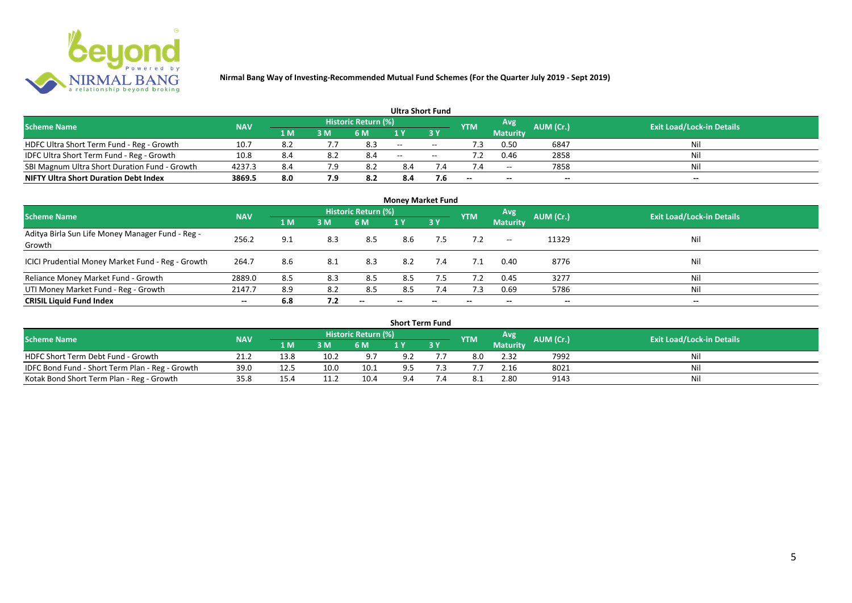

|                                               |            |       |     |                            | <b>Ultra Short Fund</b> |        |            |                 |           |                                  |
|-----------------------------------------------|------------|-------|-----|----------------------------|-------------------------|--------|------------|-----------------|-----------|----------------------------------|
| <b>Scheme Name</b>                            | <b>NAV</b> |       |     | <b>Historic Return (%)</b> |                         |        | <b>YTM</b> | Avg             | AUM (Cr.) | <b>Exit Load/Lock-in Details</b> |
|                                               |            | 1 M   | 3 M | 6 M                        | 1 Y                     |        |            | <b>Maturity</b> |           |                                  |
| HDFC Ultra Short Term Fund - Reg - Growth     | 10.7       | - 8.2 |     | 8.3                        | $\sim$                  | $\sim$ | ٠3         | 0.50            | 6847      | Nil                              |
| IDFC Ultra Short Term Fund - Reg - Growth     | 10.8       | 8.4   | 8.2 | 8.4                        | $\sim$                  | $- -$  |            | 0.46            | 2858      | Nil                              |
| SBI Magnum Ultra Short Duration Fund - Growth | 4237.3     | 8.4   | 7.9 |                            | 8.4                     |        |            | $- -$           | 7858      | Nil                              |
| <b>NIFTY Ultra Short Duration Debt Index</b>  | 3869.5     | 8.0   | 7.9 | 8.2                        | 8.4                     | 7.6    | --         | $- -$           | $- -$     | $- -$                            |

| <b>Money Market Fund</b>                                   |            |     |     |                     |                          |            |            |                          |           |                                  |  |  |  |
|------------------------------------------------------------|------------|-----|-----|---------------------|--------------------------|------------|------------|--------------------------|-----------|----------------------------------|--|--|--|
| <b>Scheme Name</b>                                         | <b>NAV</b> |     |     | Historic Return (%) |                          |            | <b>YTM</b> | Avg                      | AUM (Cr.) | <b>Exit Load/Lock-in Details</b> |  |  |  |
|                                                            |            | 1 M | 3M  | <b>6 M</b>          | 1Y                       | <b>73Y</b> |            | <b>Maturity</b>          |           |                                  |  |  |  |
| Aditya Birla Sun Life Money Manager Fund - Reg -<br>Growth | 256.2      | 9.1 | 8.3 | 8.5                 | 8.6                      | 7.5        |            | $\hspace{0.05cm} \dashv$ | 11329     | Nil                              |  |  |  |
| ICICI Prudential Money Market Fund - Reg - Growth          | 264.7      | 8.6 | 8.1 | 8.3                 | 8.2                      | 7.4        | 7.1        | 0.40                     | 8776      | Nil                              |  |  |  |
| Reliance Money Market Fund - Growth                        | 2889.0     | 8.5 | 8.3 | 8.5                 | 8.5                      | 7.5        | 7.2        | 0.45                     | 3277      | Nil                              |  |  |  |
| UTI Money Market Fund - Reg - Growth                       | 2147.7     | 8.9 | 8.2 | 8.5                 | 8.5                      | 7.4        | 7.3        | 0.69                     | 5786      | Nil                              |  |  |  |
| <b>CRISIL Liquid Fund Index</b>                            | $- -$      | 6.8 | 7.2 | $- -$               | $\overline{\phantom{a}}$ | --         | $- -$      | $- -$                    | $- -$     | $\overline{\phantom{a}}$         |  |  |  |

| <b>Short Term Fund</b>                          |            |      |                 |                            |     |     |            |                 |           |                                  |  |  |  |
|-------------------------------------------------|------------|------|-----------------|----------------------------|-----|-----|------------|-----------------|-----------|----------------------------------|--|--|--|
| <b>Scheme Name</b>                              | <b>NAV</b> |      |                 | <b>Historic Return (%)</b> |     |     | <b>YTM</b> | Avg             | AUM (Cr.) | <b>Exit Load/Lock-in Details</b> |  |  |  |
|                                                 |            | 1 M  | 3 M             | 6 M                        |     | 3 Y |            | <b>Maturity</b> |           |                                  |  |  |  |
| HDFC Short Term Debt Fund - Growth              | 21.2       | 13.8 | 10.2            | 9.7                        | 9.2 |     |            | 2.32            | 7992      | Nil                              |  |  |  |
| IDFC Bond Fund - Short Term Plan - Reg - Growth | 39.0       | 12.5 | 10 <sub>c</sub> | 10.1                       | 9.5 |     |            | 2.16            | 8021      | Nil                              |  |  |  |
| Kotak Bond Short Term Plan - Reg - Growth       | 35.8       | 15.4 |                 | 10.4                       | 9.4 |     |            | 2.80            | 9143      | Nil                              |  |  |  |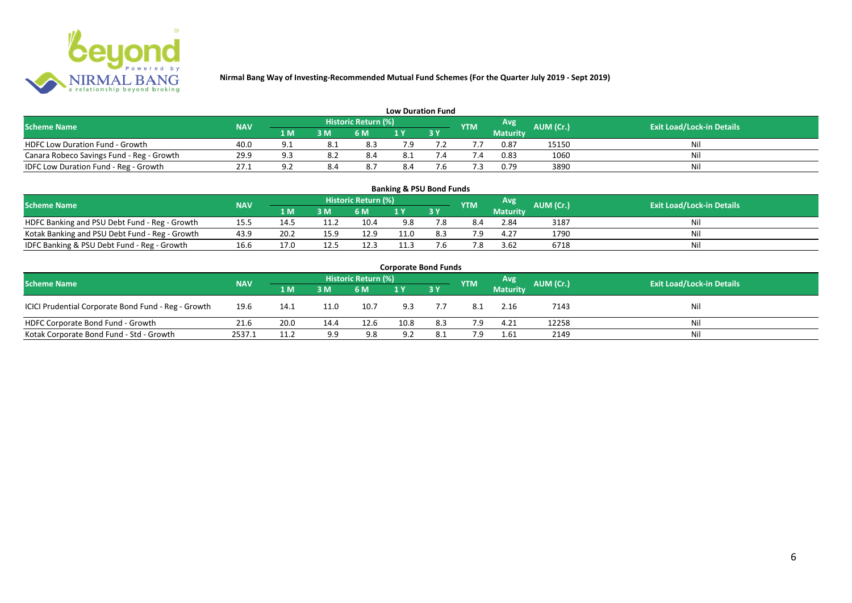

| <b>Low Duration Fund</b>                  |            |          |     |                            |     |  |            |          |           |                                  |  |  |  |  |
|-------------------------------------------|------------|----------|-----|----------------------------|-----|--|------------|----------|-----------|----------------------------------|--|--|--|--|
| <b>Scheme Name</b>                        | <b>NAV</b> |          |     | <b>Historic Return (%)</b> |     |  | <b>YTM</b> | Avg      | AUM (Cr.) | <b>Exit Load/Lock-in Details</b> |  |  |  |  |
|                                           |            | 1 M      | 3 M | 6 M                        | 1 Y |  |            | Maturity |           |                                  |  |  |  |  |
| <b>HDFC Low Duration Fund - Growth</b>    | 40.0       |          |     | 8.3                        | 7.9 |  |            | 0.87     | 15150     | Nil                              |  |  |  |  |
| Canara Robeco Savings Fund - Reg - Growth | 29.9       | a a      |     | 8.4                        | 8.1 |  | '.4        | 0.83     | 1060      | Nil                              |  |  |  |  |
| IDFC Low Duration Fund - Reg - Growth     | 27.1       | <u>.</u> | 8.4 | 8.7                        | 8.4 |  |            | 0.79     | 3890      | Nil                              |  |  |  |  |

| <b>Banking &amp; PSU Bond Funds</b>            |            |      |      |                            |      |           |            |                 |           |                                  |  |  |  |
|------------------------------------------------|------------|------|------|----------------------------|------|-----------|------------|-----------------|-----------|----------------------------------|--|--|--|
| <b>Scheme Name</b>                             | <b>NAV</b> |      |      | <b>Historic Return (%)</b> |      |           | <b>YTM</b> | Avg             | AUM (Cr.) | <b>Exit Load/Lock-in Details</b> |  |  |  |
|                                                |            | 1 M  | 3M   | 6 M                        |      | <b>3Y</b> |            | <b>Maturity</b> |           |                                  |  |  |  |
| HDFC Banking and PSU Debt Fund - Reg - Growth  | 15.5       |      |      | 10.4                       | 9.8  |           | 8.4        | 2.84            | 3187      |                                  |  |  |  |
| Kotak Banking and PSU Debt Fund - Reg - Growth | 43.9       | 20.2 | 15.9 | 12.9                       | 11.0 |           |            | 4.27            | 1790      |                                  |  |  |  |
| IDFC Banking & PSU Debt Fund - Reg - Growth    | 16.6       | 17.0 | 12.5 | 12.3                       | 11.3 |           | 7.8        | 3.62            | 6718      |                                  |  |  |  |

| <b>Corporate Bond Funds</b>                         |            |      |      |                     |      |       |            |                 |           |                                  |  |  |  |  |
|-----------------------------------------------------|------------|------|------|---------------------|------|-------|------------|-----------------|-----------|----------------------------------|--|--|--|--|
| <b>Scheme Name</b>                                  | <b>NAV</b> |      |      | Historic Return (%) |      |       | <b>YTM</b> | Avg             | AUM (Cr.) | <b>Exit Load/Lock-in Details</b> |  |  |  |  |
|                                                     |            | 1 M  | 3 M  | 6 M                 |      | 7 3 Y |            | <b>Maturity</b> |           |                                  |  |  |  |  |
| ICICI Prudential Corporate Bond Fund - Reg - Growth | 19.6       | 14.1 | 11.0 | 10.7                | 9.3  |       | 8.1        | 2.16            | 7143      | Nil                              |  |  |  |  |
| HDFC Corporate Bond Fund - Growth                   | 21.6       | 20.0 | 14.4 | 12.6                | 10.8 | 8.3   | 7.9        | 4.21            | 12258     | Nil                              |  |  |  |  |
| Kotak Corporate Bond Fund - Std - Growth            | 2537.1     | 11.2 | 9.9  | 9.8                 | 9.2  | 8.1   | 7.9        | 1.61            | 2149      | Nil                              |  |  |  |  |